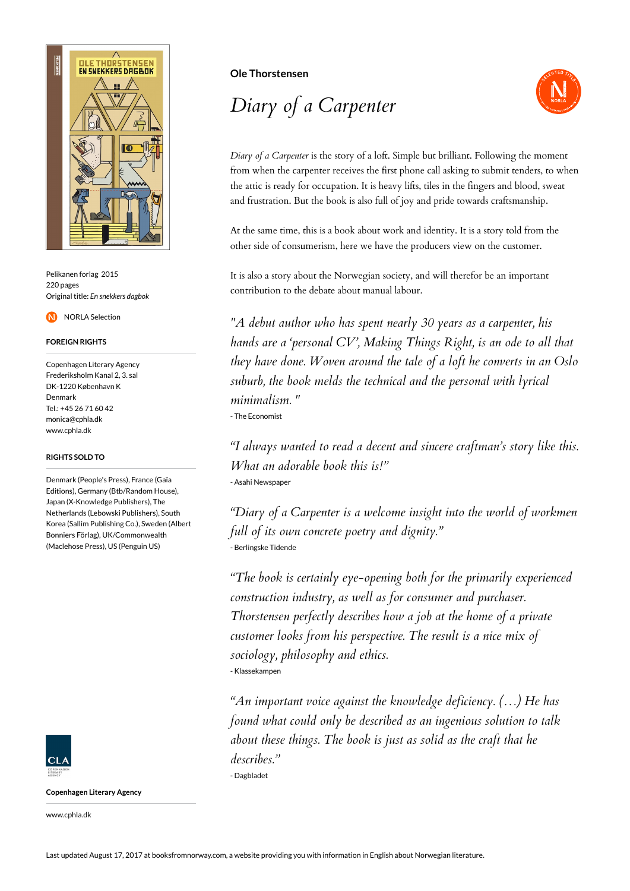

Pelikanen forlag 2015 220 pages Original title: *En snekkers dagbok*

NORLA Selection

### **FOREIGN RIGHTS**

Copenhagen Literary Agency Frederiksholm Kanal 2, 3. sal DK-1220 København K Denmark Tel.: +45 26 71 60 42 monica@cphla.dk www.cphla.dk

### **RIGHTS SOLD TO**

Denmark (People's Press), France (Gaïa Editions), Germany (Btb/Random House), Japan (X-Knowledge Publishers), The Netherlands (Lebowski Publishers), South Korea (Sallim Publishing Co.), Sweden (Albert Bonniers Förlag), UK/Commonwealth (Maclehose Press), US (Penguin US)



**Copenhagen Literary Agency**

www.cphla.dk

## **Ole Thorstensen**

# *Diary of a Carpenter*



*Diary of a Carpenter* is the story of a loft. Simple but brilliant. Following the moment from when the carpenter receives the first phone call asking to submit tenders, to when the attic is ready for occupation. It is heavy lifts, tiles in the fingers and blood, sweat and frustration. But the book is also full of joy and pride towards craftsmanship.

At the same time, this is a book about work and identity. It is a story told from the other side of consumerism, here we have the producers view on the customer.

It is also a story about the Norwegian society, and will therefor be an important contribution to the debate about manual labour.

*"A debut author who has spent nearly 30 years as a carpenter, his hands are a 'personal CV', Making Things Right, is an ode to all that they have done. Woven around the tale of a loft he converts in an Oslo suburb, the book melds the technical and the personal with lyrical minimalism. "* - The Economist

*"I always wanted to read a decent and sincere craftman's story like this. What an adorable book this is!"* - Asahi Newspaper

*"Diary of a Carpenter is a welcome insight into the world of workmen full of its own concrete poetry and dignity."* - Berlingske Tidende

*"The book is certainly eye-opening both for the primarily experienced construction industry, as well as for consumer and purchaser. Thorstensen perfectly describes how a job at the home of a private customer looks from his perspective. The result is a nice mix of sociology, philosophy and ethics.* - Klassekampen

*"An important voice against the knowledge deficiency. (…) He has found what could only be described as an ingenious solution to talk about these things. The book is just as solid as the craft that he describes."* - Dagbladet